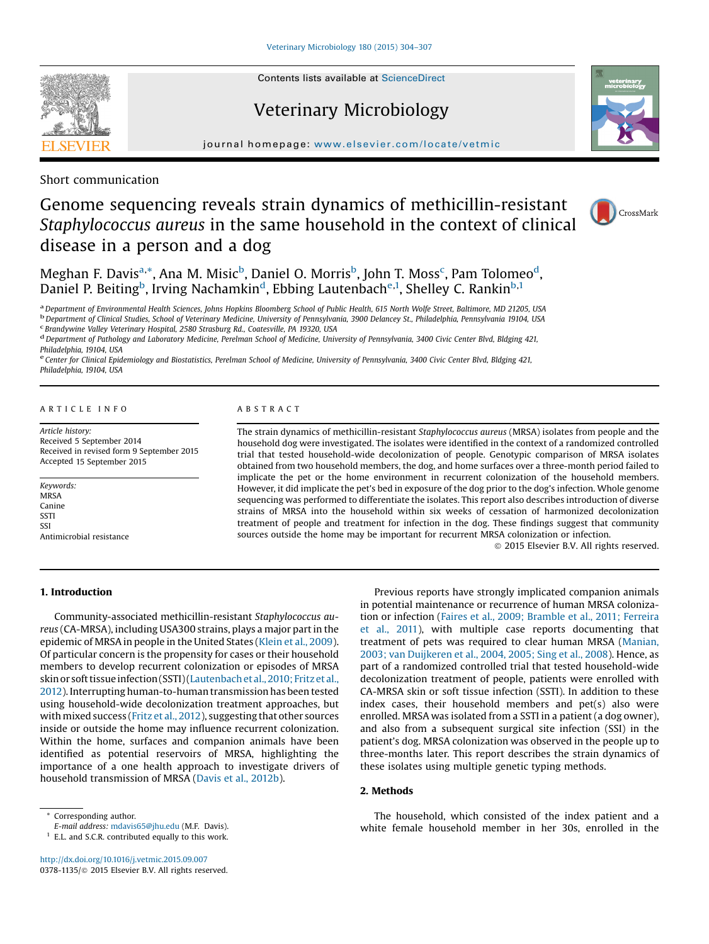# Veterinary Microbiology

journal homepage: <www.elsevier.com/locate/vetmic>

Short communication

# Genome sequencing reveals strain dynamics of methicillin-resistant Staphylococcus aureus in the same household in the context of clinical disease in a person and a dog

Meghan F. Davis<sup>a,</sup>\*, Ana M. Misic<sup>b</sup>, Daniel O. Morris<sup>b</sup>, John T. Moss<sup>c</sup>, Pam Tolomeo<sup>d</sup>, Daniel P. Beiting<sup>b</sup>, Irving Nachamkin<sup>d</sup>, Ebbing Lautenbach<sup>e,1</sup>, Shelley C. Rankin<sup>b,1</sup>

<sup>a</sup> Department of Environmental Health Sciences, Johns Hopkins Bloomberg School of Public Health, 615 North Wolfe Street, Baltimore, MD 21205, USA<br><sup>b</sup> Department of Clinical Studies, School of Veterinary Medicine, Universi

<sup>d</sup> Department of Pathology and Laboratory Medicine, Perelman School of Medicine, University of Pennsylvania, 3400 Civic Center Blvd, Bldging 421, Philadelphia, 19104, USA

e Center for Clinical Epidemiology and Biostatistics, Perelman School of Medicine, University of Pennsylvania, 3400 Civic Center Blvd, Bldging 421, Philadelphia, 19104, USA

#### A R T I C L E I N F O

Article history: Received 5 September 2014 Received in revised form 9 September 2015 Accepted 15 September 2015

Keywords: **MRSA** Canine SSTI **SSI** Antimicrobial resistance

### A B S T R A C T

The strain dynamics of methicillin-resistant Staphylococcus aureus (MRSA) isolates from people and the household dog were investigated. The isolates were identified in the context of a randomized controlled trial that tested household-wide decolonization of people. Genotypic comparison of MRSA isolates obtained from two household members, the dog, and home surfaces over a three-month period failed to implicate the pet or the home environment in recurrent colonization of the household members. However, it did implicate the pet's bed in exposure of the dog prior to the dog's infection. Whole genome sequencing was performed to differentiate the isolates. This report also describes introduction of diverse strains of MRSA into the household within six weeks of cessation of harmonized decolonization treatment of people and treatment for infection in the dog. These findings suggest that community sources outside the home may be important for recurrent MRSA colonization or infection.

ã 2015 Elsevier B.V. All rights reserved.

## 1. Introduction

Community-associated methicillin-resistant Staphylococcus aureus (CA-MRSA), including USA300 strains, plays a major partin the epidemic of MRSA in people in the United States ([Klein](#page-3-0) et al., 2009). Of particular concern is the propensity for cases or their household members to develop recurrent colonization or episodes of MRSA skin or soft tissue infection (SSTI) (Lautenbach et al., 2010; Fritz et al., [2012](#page-3-0)). Interrupting human-to-human transmission has been tested using household-wide decolonization treatment approaches, but with mixed success (Fritz et al., [2012](#page-3-0)), suggesting that other sources inside or outside the home may influence recurrent colonization. Within the home, surfaces and companion animals have been identified as potential reservoirs of MRSA, highlighting the importance of a one health approach to investigate drivers of household transmission of MRSA (Davis et al., [2012b](#page-3-0)).

 $1$  E.L. and S.C.R. contributed equally to this work.

<http://dx.doi.org/10.1016/j.vetmic.2015.09.007> 0378-1135/ $\circ$  2015 Elsevier B.V. All rights reserved.

Previous reports have strongly implicated companion animals in potential maintenance or recurrence of human MRSA colonization or infection (Faires et al., 2009; [Bramble](#page-3-0) et al., 2011; Ferreira et al., [2011](#page-3-0)), with multiple case reports documenting that treatment of pets was required to clear human MRSA ([Manian,](#page-3-0) 2003; van [Duijkeren](#page-3-0) et al., 2004, 2005; Sing et al., 2008). Hence, as part of a randomized controlled trial that tested household-wide decolonization treatment of people, patients were enrolled with CA-MRSA skin or soft tissue infection (SSTI). In addition to these index cases, their household members and pet(s) also were enrolled. MRSA was isolated from a SSTI in a patient (a dog owner), and also from a subsequent surgical site infection (SSI) in the patient's dog. MRSA colonization was observed in the people up to three-months later. This report describes the strain dynamics of these isolates using multiple genetic typing methods.

## 2. Methods

The household, which consisted of the index patient and a white female household member in her 30s, enrolled in the







Corresponding author.

E-mail address: [mdavis65@jhu.edu](mailto:mdavis65@jhu.edu) (M.F. Davis).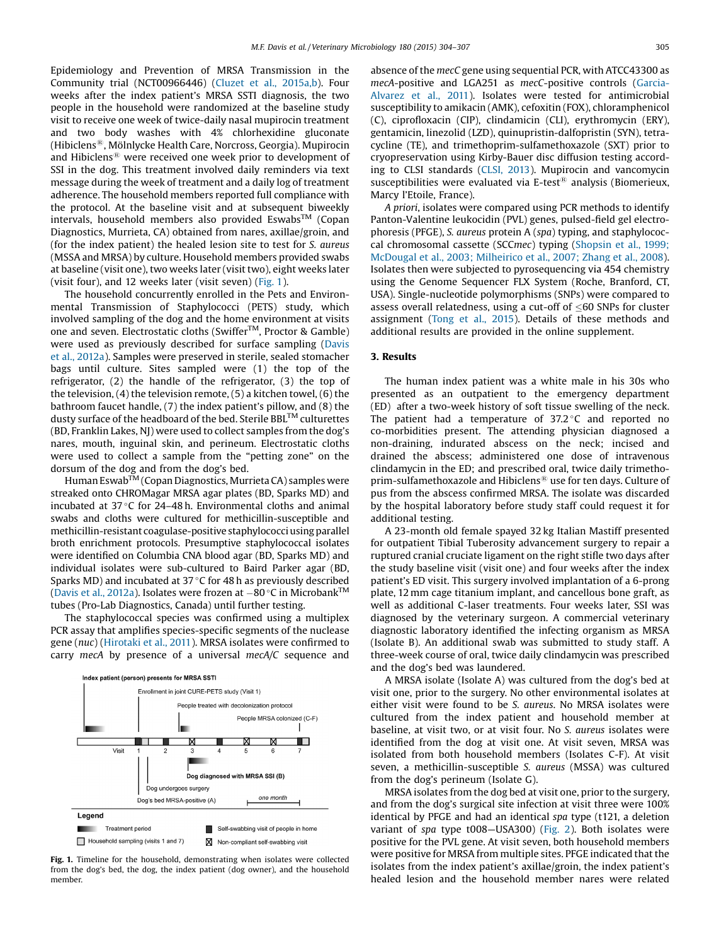Epidemiology and Prevention of MRSA Transmission in the Community trial (NCT00966446) (Cluzet et al., [2015a,b\)](#page-3-0). Four weeks after the index patient's MRSA SSTI diagnosis, the two people in the household were randomized at the baseline study visit to receive one week of twice-daily nasal mupirocin treatment and two body washes with 4% chlorhexidine gluconate (Hibiclens<sup>®</sup>, Mölnlycke Health Care, Norcross, Georgia). Mupirocin and Hibiclens<sup>®</sup> were received one week prior to development of SSI in the dog. This treatment involved daily reminders via text message during the week of treatment and a daily log of treatment adherence. The household members reported full compliance with the protocol. At the baseline visit and at subsequent biweekly intervals, household members also provided Eswabs<sup>TM</sup> (Copan Diagnostics, Murrieta, CA) obtained from nares, axillae/groin, and (for the index patient) the healed lesion site to test for S. aureus (MSSA and MRSA) by culture. Household members provided swabs at baseline (visit one), two weeks later (visit two), eight weeks later (visit four), and 12 weeks later (visit seven) (Fig. 1).

The household concurrently enrolled in the Pets and Environmental Transmission of Staphylococci (PETS) study, which involved sampling of the dog and the home environment at visits one and seven. Electrostatic cloths (Swiffer<sup>TM</sup>, Proctor & Gamble) were used as previously described for surface sampling ([Davis](#page-3-0) et al., [2012a\)](#page-3-0). Samples were preserved in sterile, sealed stomacher bags until culture. Sites sampled were (1) the top of the refrigerator, (2) the handle of the refrigerator, (3) the top of the television, (4) the television remote, (5) a kitchen towel, (6) the bathroom faucet handle, (7) the index patient's pillow, and (8) the dusty surface of the headboard of the bed. Sterile BBL<sup>TM</sup> culturettes (BD, Franklin Lakes, NJ) were used to collect samples from the dog's nares, mouth, inguinal skin, and perineum. Electrostatic cloths were used to collect a sample from the "petting zone" on the dorsum of the dog and from the dog's bed.

Human Eswab<sup>TM</sup> (Copan Diagnostics, Murrieta CA) samples were streaked onto CHROMagar MRSA agar plates (BD, Sparks MD) and incubated at  $37 \degree$ C for 24–48 h. Environmental cloths and animal swabs and cloths were cultured for methicillin-susceptible and methicillin-resistant coagulase-positive staphylococci using parallel broth enrichment protocols. Presumptive staphylococcal isolates were identified on Columbia CNA blood agar (BD, Sparks MD) and individual isolates were sub-cultured to Baird Parker agar (BD, Sparks MD) and incubated at 37 $\degree$ C for 48 h as previously described (Davis et al., [2012a\)](#page-3-0). Isolates were frozen at  $-80^{\circ}$ C in Microbank<sup>TM</sup> tubes (Pro-Lab Diagnostics, Canada) until further testing.

The staphylococcal species was confirmed using a multiplex PCR assay that amplifies species-specific segments of the nuclease gene (nuc) [\(Hirotaki](#page-3-0) et al., 2011). MRSA isolates were confirmed to carry mecA by presence of a universal mecA/C sequence and



Fig. 1. Timeline for the household, demonstrating when isolates were collected from the dog's bed, the dog, the index patient (dog owner), and the household member.

absence of the mecC gene using sequential PCR, with ATCC43300 as mecA-positive and LGA251 as mecC-positive controls ([Garcia-](#page-3-0)[Alvarez](#page-3-0) et al., 2011). Isolates were tested for antimicrobial susceptibility to amikacin (AMK), cefoxitin (FOX), chloramphenicol (C), ciprofloxacin (CIP), clindamicin (CLI), erythromycin (ERY), gentamicin, linezolid (LZD), quinupristin-dalfopristin (SYN), tetracycline (TE), and trimethoprim-sulfamethoxazole (SXT) prior to cryopreservation using Kirby-Bauer disc diffusion testing according to CLSI standards (CLSI, [2013](#page-3-0)). Mupirocin and vancomycin susceptibilities were evaluated via E-test<sup>®</sup> analysis (Biomerieux, Marcy l'Etoile, France).

A priori, isolates were compared using PCR methods to identify Panton-Valentine leukocidin (PVL) genes, pulsed-field gel electrophoresis (PFGE), S. aureus protein A (spa) typing, and staphylococcal chromosomal cassette (SCCmec) typing ([Shopsin](#page-3-0) et al., 1999; McDougal et al., 2003; [Milheirico](#page-3-0) et al., 2007; Zhang et al., 2008). Isolates then were subjected to pyrosequencing via 454 chemistry using the Genome Sequencer FLX System (Roche, Branford, CT, USA). Single-nucleotide polymorphisms (SNPs) were compared to assess overall relatedness, using a cut-off of  $\leq 60$  SNPs for cluster assignment (Tong et al., [2015](#page-3-0)). Details of these methods and additional results are provided in the online supplement.

#### 3. Results

The human index patient was a white male in his 30s who presented as an outpatient to the emergency department (ED) after a two-week history of soft tissue swelling of the neck. The patient had a temperature of  $37.2^{\circ}$ C and reported no co-morbidities present. The attending physician diagnosed a non-draining, indurated abscess on the neck; incised and drained the abscess; administered one dose of intravenous clindamycin in the ED; and prescribed oral, twice daily trimethoprim-sulfamethoxazole and Hibiclens<sup>®</sup> use for ten days. Culture of pus from the abscess confirmed MRSA. The isolate was discarded by the hospital laboratory before study staff could request it for additional testing.

A 23-month old female spayed 32 kg Italian Mastiff presented for outpatient Tibial Tuberosity advancement surgery to repair a ruptured cranial cruciate ligament on the right stifle two days after the study baseline visit (visit one) and four weeks after the index patient's ED visit. This surgery involved implantation of a 6-prong plate, 12 mm cage titanium implant, and cancellous bone graft, as well as additional C-laser treatments. Four weeks later, SSI was diagnosed by the veterinary surgeon. A commercial veterinary diagnostic laboratory identified the infecting organism as MRSA (Isolate B). An additional swab was submitted to study staff. A three-week course of oral, twice daily clindamycin was prescribed and the dog's bed was laundered.

A MRSA isolate (Isolate A) was cultured from the dog's bed at visit one, prior to the surgery. No other environmental isolates at either visit were found to be S. aureus. No MRSA isolates were cultured from the index patient and household member at baseline, at visit two, or at visit four. No S. aureus isolates were identified from the dog at visit one. At visit seven, MRSA was isolated from both household members (Isolates C-F). At visit seven, a methicillin-susceptible S. aureus (MSSA) was cultured from the dog's perineum (Isolate G).

MRSA isolates from the dog bed at visit one, prior to the surgery, and from the dog's surgical site infection at visit three were 100% identical by PFGE and had an identical spa type (t121, a deletion variant of spa type t008—USA300) [\(Fig.](#page-2-0) 2). Both isolates were positive for the PVL gene. At visit seven, both household members were positive for MRSA from multiple sites. PFGE indicated that the isolates from the index patient's axillae/groin, the index patient's healed lesion and the household member nares were related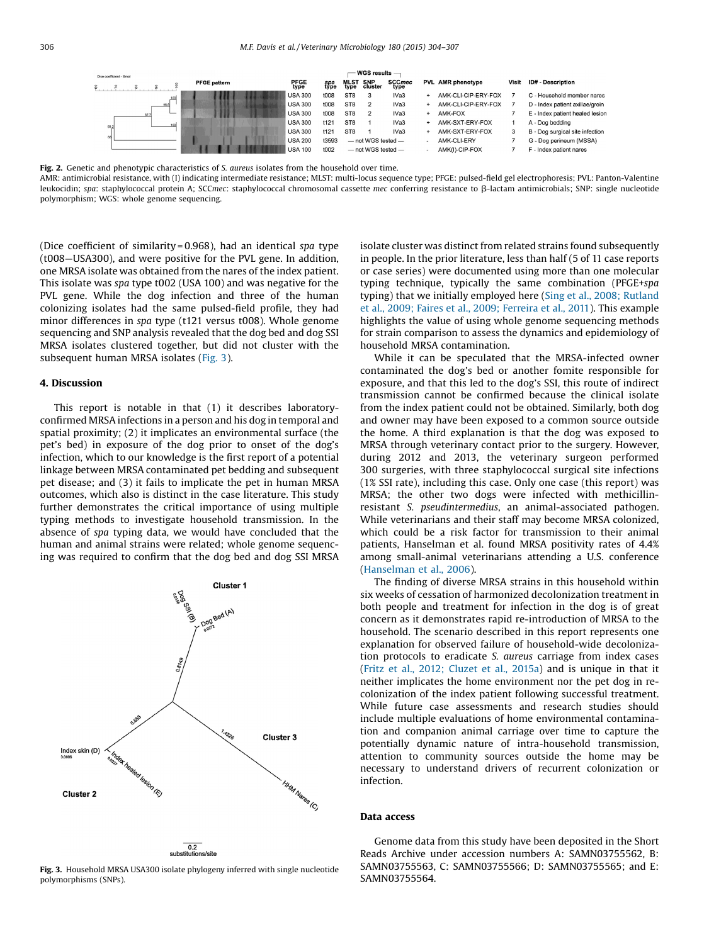<span id="page-2-0"></span>

Fig. 2. Genetic and phenotypic characteristics of S. aureus isolates from the household over time.

AMR: antimicrobial resistance, with (I) indicating intermediate resistance; MLST: multi-locus sequence type; PFGE: pulsed-field gel electrophoresis; PVL: Panton-Valentine leukocidin; spa: staphylococcal protein A; SCCmec: staphylococcal chromosomal cassette mec conferring resistance to β-lactam antimicrobials; SNP: single nucleotide polymorphism; WGS: whole genome sequencing.

(Dice coefficient of similarity = 0.968), had an identical spa type (t008—USA300), and were positive for the PVL gene. In addition, one MRSA isolate was obtained from the nares of the index patient. This isolate was spa type t002 (USA 100) and was negative for the PVL gene. While the dog infection and three of the human colonizing isolates had the same pulsed-field profile, they had minor differences in spa type (t121 versus t008). Whole genome sequencing and SNP analysis revealed that the dog bed and dog SSI MRSA isolates clustered together, but did not cluster with the subsequent human MRSA isolates (Fig. 3).

#### 4. Discussion

This report is notable in that (1) it describes laboratoryconfirmed MRSA infections in a person and his dog in temporal and spatial proximity; (2) it implicates an environmental surface (the pet's bed) in exposure of the dog prior to onset of the dog's infection, which to our knowledge is the first report of a potential linkage between MRSA contaminated pet bedding and subsequent pet disease; and (3) it fails to implicate the pet in human MRSA outcomes, which also is distinct in the case literature. This study further demonstrates the critical importance of using multiple typing methods to investigate household transmission. In the absence of spa typing data, we would have concluded that the human and animal strains were related; whole genome sequencing was required to confirm that the dog bed and dog SSI MRSA



Fig. 3. Household MRSA USA300 isolate phylogeny inferred with single nucleotide polymorphisms (SNPs).

isolate cluster was distinct from related strains found subsequently in people. In the prior literature, less than half (5 of 11 case reports or case series) were documented using more than one molecular typing technique, typically the same combination (PFGE+spa typing) that we initially employed here (Sing et al., 2008; [Rutland](#page-3-0) et al., 2009; Faires et al., 2009; [Ferreira](#page-3-0) et al., 2011). This example highlights the value of using whole genome sequencing methods for strain comparison to assess the dynamics and epidemiology of household MRSA contamination.

While it can be speculated that the MRSA-infected owner contaminated the dog's bed or another fomite responsible for exposure, and that this led to the dog's SSI, this route of indirect transmission cannot be confirmed because the clinical isolate from the index patient could not be obtained. Similarly, both dog and owner may have been exposed to a common source outside the home. A third explanation is that the dog was exposed to MRSA through veterinary contact prior to the surgery. However, during 2012 and 2013, the veterinary surgeon performed 300 surgeries, with three staphylococcal surgical site infections (1% SSI rate), including this case. Only one case (this report) was MRSA; the other two dogs were infected with methicillinresistant S. pseudintermedius, an animal-associated pathogen. While veterinarians and their staff may become MRSA colonized, which could be a risk factor for transmission to their animal patients, Hanselman et al. found MRSA positivity rates of 4.4% among small-animal veterinarians attending a U.S. conference ([Hanselman](#page-3-0) et al., 2006).

The finding of diverse MRSA strains in this household within six weeks of cessation of harmonized decolonization treatment in both people and treatment for infection in the dog is of great concern as it demonstrates rapid re-introduction of MRSA to the household. The scenario described in this report represents one explanation for observed failure of household-wide decolonization protocols to eradicate S. aureus carriage from index cases (Fritz et al., 2012; [Cluzet](#page-3-0) et al., 2015a) and is unique in that it neither implicates the home environment nor the pet dog in recolonization of the index patient following successful treatment. While future case assessments and research studies should include multiple evaluations of home environmental contamination and companion animal carriage over time to capture the potentially dynamic nature of intra-household transmission, attention to community sources outside the home may be necessary to understand drivers of recurrent colonization or infection.

#### Data access

Genome data from this study have been deposited in the Short Reads Archive under accession numbers A: SAMN03755562, B: SAMN03755563, C: SAMN03755566; D: SAMN03755565; and E: SAMN03755564.